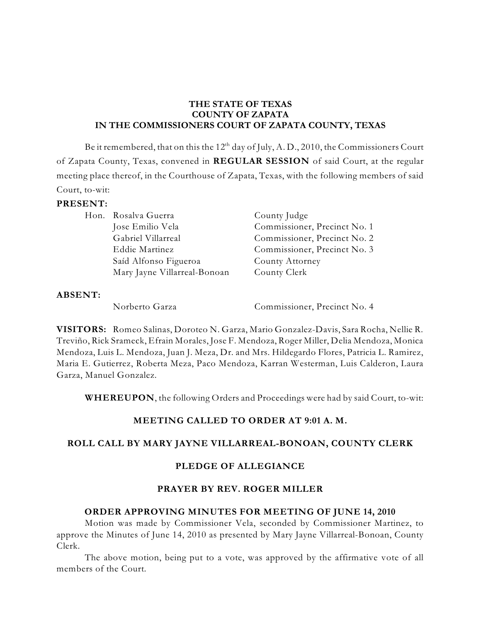#### **THE STATE OF TEXAS COUNTY OF ZAPATA IN THE COMMISSIONERS COURT OF ZAPATA COUNTY, TEXAS**

Be it remembered, that on this the  $12^{\rm th}$  day of July, A. D., 2010, the Commissioners Court of Zapata County, Texas, convened in **REGULAR SESSION** of said Court, at the regular meeting place thereof, in the Courthouse of Zapata, Texas, with the following members of said Court, to-wit:

#### **PRESENT:**

| Hon. Rosalva Guerra          | County Judge                 |
|------------------------------|------------------------------|
| Jose Emilio Vela             | Commissioner, Precinct No. 1 |
| Gabriel Villarreal           | Commissioner, Precinct No. 2 |
| Eddie Martinez               | Commissioner, Precinct No. 3 |
| Saíd Alfonso Figueroa        | County Attorney              |
| Mary Jayne Villarreal-Bonoan | County Clerk                 |

#### **ABSENT:**

Norberto Garza Commissioner, Precinct No. 4

**VISITORS:** Romeo Salinas, Doroteo N. Garza, Mario Gonzalez-Davis, Sara Rocha, Nellie R. Treviño, Rick Srameck, Efrain Morales, Jose F. Mendoza, Roger Miller, Delia Mendoza, Monica Mendoza, Luis L. Mendoza, Juan J. Meza, Dr. and Mrs. Hildegardo Flores, Patricia L. Ramirez, Maria E. Gutierrez, Roberta Meza, Paco Mendoza, Karran Westerman, Luis Calderon, Laura Garza, Manuel Gonzalez.

**WHEREUPON**, the following Orders and Proceedings were had by said Court, to-wit:

# **MEETING CALLED TO ORDER AT 9:01 A. M.**

#### **ROLL CALL BY MARY JAYNE VILLARREAL-BONOAN, COUNTY CLERK**

#### **PLEDGE OF ALLEGIANCE**

#### **PRAYER BY REV. ROGER MILLER**

#### **ORDER APPROVING MINUTES FOR MEETING OF JUNE 14, 2010**

Motion was made by Commissioner Vela, seconded by Commissioner Martinez, to approve the Minutes of June 14, 2010 as presented by Mary Jayne Villarreal-Bonoan, County Clerk.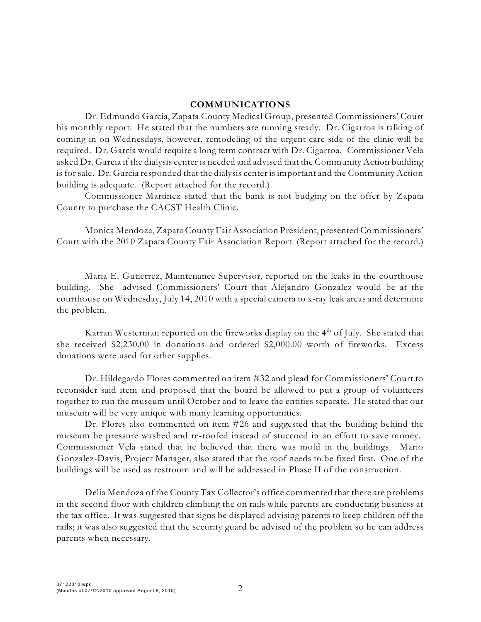#### **COMMUNICATIONS**

Dr. Edmundo Garcia, Zapata County Medical Group, presented Commissioners' Court his monthly report. He stated that the numbers are running steady. Dr. Cigarroa is talking of coming in on Wednesdays, however, remodeling of the urgent care side of the clinic will be required. Dr. Garcia would require a long term contract with Dr. Cigarroa. Commissioner Vela asked Dr. Garcia if the dialysis center is needed and advised that the Community Action building is for sale. Dr. Garcia responded that the dialysis center is important and the Community Action building is adequate. (Report attached for the record.)

Commissioner Martinez stated that the bank is not budging on the offer by Zapata County to purchase the CACST Health Clinic.

Monica Mendoza, Zapata County Fair Association President, presented Commissioners' Court with the 2010 Zapata County Fair Association Report. (Report attached for the record.)

Maria E. Gutierrez, Maintenance Supervisor, reported on the leaks in the courthouse building. She advised Commissioners' Court that Alejandro Gonzalez would be at the courthouse on Wednesday, July 14, 2010 with a special camera to x-ray leak areas and determine the problem.

Karran Westerman reported on the fireworks display on the  $4^{\rm th}$  of July. She stated that she received \$2,230.00 in donations and ordered \$2,000.00 worth of fireworks. Excess donations were used for other supplies.

Dr. Hildegardo Flores commented on item #32 and plead for Commissioners' Court to reconsider said item and proposed that the board be allowed to put a group of volunteers together to run the museum until October and to leave the entities separate. He stated that our museum will be very unique with many learning opportunities.

Dr. Flores also commented on item #26 and suggested that the building behind the museum be pressure washed and re-roofed instead of stuccoed in an effort to save money. Commissioner Vela stated that he believed that there was mold in the buildings. Mario Gonzalez-Davis, Project Manager, also stated that the roof needs to be fixed first. One of the buildings will be used as restroom and will be addressed in Phase II of the construction.

Delia Mendoza of the County Tax Collector's office commented that there are problems in the second floor with children climbing the on rails while parents are conducting business at the tax office. It was suggested that signs be displayed advising parents to keep children off the rails; it was also suggested that the security guard be advised of the problem so he can address parents when necessary.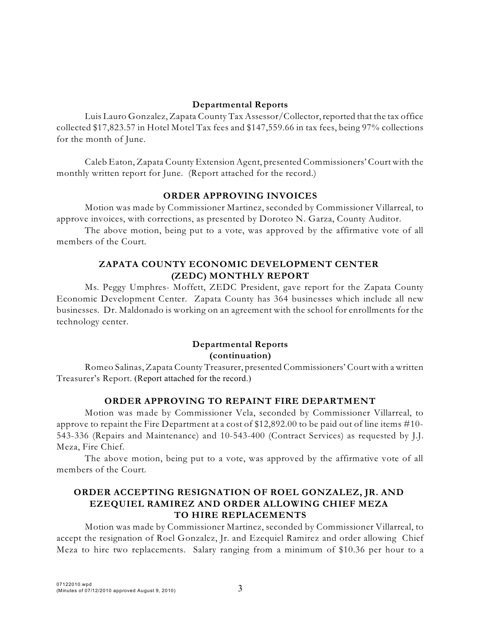### **Departmental Reports**

Luis Lauro Gonzalez, Zapata County Tax Assessor/Collector,reported that the tax office collected \$17,823.57 in Hotel Motel Tax fees and \$147,559.66 in tax fees, being 97% collections for the month of June.

Caleb Eaton, Zapata County Extension Agent, presented Commissioners' Court with the monthly written report for June. (Report attached for the record.)

# **ORDER APPROVING INVOICES**

Motion was made by Commissioner Martinez, seconded by Commissioner Villarreal, to approve invoices, with corrections, as presented by Doroteo N. Garza, County Auditor.

The above motion, being put to a vote, was approved by the affirmative vote of all members of the Court.

# **ZAPATA COUNTY ECONOMIC DEVELOPMENT CENTER (ZEDC) MONTHLY REPORT**

Ms. Peggy Umphres- Moffett, ZEDC President, gave report for the Zapata County Economic Development Center. Zapata County has 364 businesses which include all new businesses. Dr. Maldonado is working on an agreement with the school for enrollments for the technology center.

# **Departmental Reports (continuation)**

Romeo Salinas, Zapata County Treasurer, presented Commissioners' Court with a written Treasurer's Report. (Report attached for the record.)

# **ORDER APPROVING TO REPAINT FIRE DEPARTMENT**

Motion was made by Commissioner Vela, seconded by Commissioner Villarreal, to approve to repaint the Fire Department at a cost of \$12,892.00 to be paid out of line items #10- 543-336 (Repairs and Maintenance) and 10-543-400 (Contract Services) as requested by J.J. Meza, Fire Chief.

The above motion, being put to a vote, was approved by the affirmative vote of all members of the Court.

# **ORDER ACCEPTING RESIGNATION OF ROEL GONZALEZ, JR. AND EZEQUIEL RAMIREZ AND ORDER ALLOWING CHIEF MEZA TO HIRE REPLACEMENTS**

Motion was made by Commissioner Martinez, seconded by Commissioner Villarreal, to accept the resignation of Roel Gonzalez, Jr. and Ezequiel Ramirez and order allowing Chief Meza to hire two replacements. Salary ranging from a minimum of \$10.36 per hour to a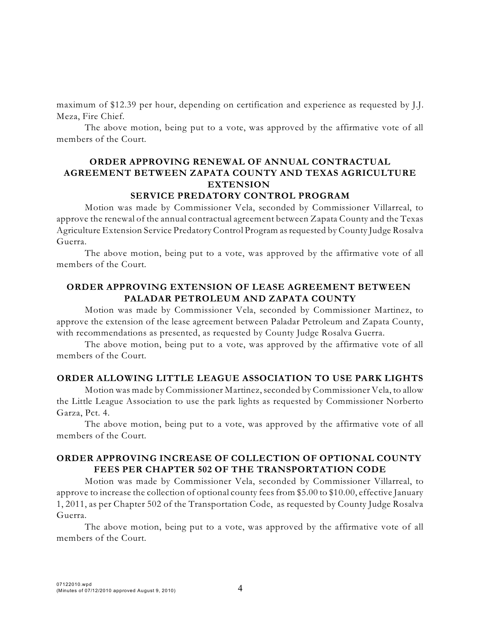maximum of \$12.39 per hour, depending on certification and experience as requested by J.J. Meza, Fire Chief.

The above motion, being put to a vote, was approved by the affirmative vote of all members of the Court.

# **ORDER APPROVING RENEWAL OF ANNUAL CONTRACTUAL AGREEMENT BETWEEN ZAPATA COUNTY AND TEXAS AGRICULTURE EXTENSION**

#### **SERVICE PREDATORY CONTROL PROGRAM**

Motion was made by Commissioner Vela, seconded by Commissioner Villarreal, to approve the renewal of the annual contractual agreement between Zapata County and the Texas Agriculture Extension Service Predatory Control Program as requested by County Judge Rosalva Guerra.

The above motion, being put to a vote, was approved by the affirmative vote of all members of the Court.

### **ORDER APPROVING EXTENSION OF LEASE AGREEMENT BETWEEN PALADAR PETROLEUM AND ZAPATA COUNTY**

Motion was made by Commissioner Vela, seconded by Commissioner Martinez, to approve the extension of the lease agreement between Paladar Petroleum and Zapata County, with recommendations as presented, as requested by County Judge Rosalva Guerra.

The above motion, being put to a vote, was approved by the affirmative vote of all members of the Court.

#### **ORDER ALLOWING LITTLE LEAGUE ASSOCIATION TO USE PARK LIGHTS**

Motion was made by Commissioner Martinez, seconded by Commissioner Vela, to allow the Little League Association to use the park lights as requested by Commissioner Norberto Garza, Pct. 4.

The above motion, being put to a vote, was approved by the affirmative vote of all members of the Court.

### **ORDER APPROVING INCREASE OF COLLECTION OF OPTIONAL COUNTY FEES PER CHAPTER 502 OF THE TRANSPORTATION CODE**

Motion was made by Commissioner Vela, seconded by Commissioner Villarreal, to approve to increase the collection of optional county fees from \$5.00 to \$10.00, effective January 1, 2011, as per Chapter 502 of the Transportation Code, as requested by County Judge Rosalva Guerra.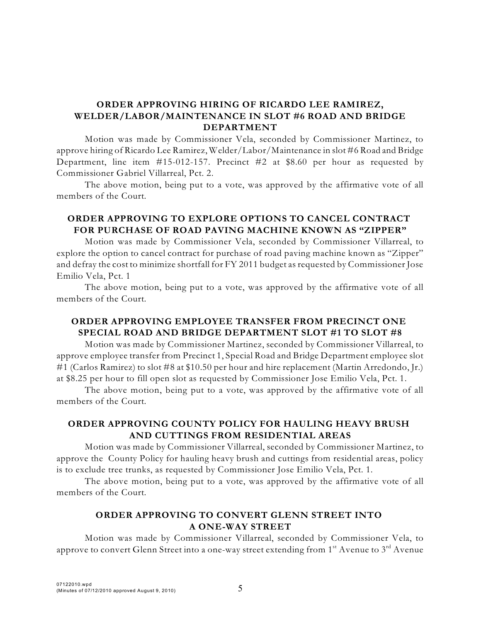### **ORDER APPROVING HIRING OF RICARDO LEE RAMIREZ, WELDER/LABOR/MAINTENANCE IN SLOT #6 ROAD AND BRIDGE DEPARTMENT**

Motion was made by Commissioner Vela, seconded by Commissioner Martinez, to approve hiring of Ricardo Lee Ramirez, Welder/Labor/Maintenance in slot #6 Road and Bridge Department, line item #15-012-157. Precinct #2 at \$8.60 per hour as requested by Commissioner Gabriel Villarreal, Pct. 2.

The above motion, being put to a vote, was approved by the affirmative vote of all members of the Court.

### **ORDER APPROVING TO EXPLORE OPTIONS TO CANCEL CONTRACT FOR PURCHASE OF ROAD PAVING MACHINE KNOWN AS "ZIPPER"**

Motion was made by Commissioner Vela, seconded by Commissioner Villarreal, to explore the option to cancel contract for purchase of road paving machine known as "Zipper" and defray the cost to minimize shortfall for FY 2011 budget as requested by Commissioner Jose Emilio Vela, Pct. 1

The above motion, being put to a vote, was approved by the affirmative vote of all members of the Court.

### **ORDER APPROVING EMPLOYEE TRANSFER FROM PRECINCT ONE SPECIAL ROAD AND BRIDGE DEPARTMENT SLOT #1 TO SLOT #8**

Motion was made by Commissioner Martinez, seconded by Commissioner Villarreal, to approve employee transfer from Precinct 1, Special Road and Bridge Department employee slot #1 (Carlos Ramirez) to slot #8 at \$10.50 per hour and hire replacement (Martin Arredondo, Jr.) at \$8.25 per hour to fill open slot as requested by Commissioner Jose Emilio Vela, Pct. 1.

The above motion, being put to a vote, was approved by the affirmative vote of all members of the Court.

#### **ORDER APPROVING COUNTY POLICY FOR HAULING HEAVY BRUSH AND CUTTINGS FROM RESIDENTIAL AREAS**

Motion was made by Commissioner Villarreal, seconded by Commissioner Martinez, to approve the County Policy for hauling heavy brush and cuttings from residential areas, policy is to exclude tree trunks, as requested by Commissioner Jose Emilio Vela, Pct. 1.

The above motion, being put to a vote, was approved by the affirmative vote of all members of the Court.

### **ORDER APPROVING TO CONVERT GLENN STREET INTO A ONE-WAY STREET**

Motion was made by Commissioner Villarreal, seconded by Commissioner Vela, to approve to convert Glenn Street into a one-way street extending from  $1^{\rm st}$  Avenue to  $3^{\rm rd}$  Avenue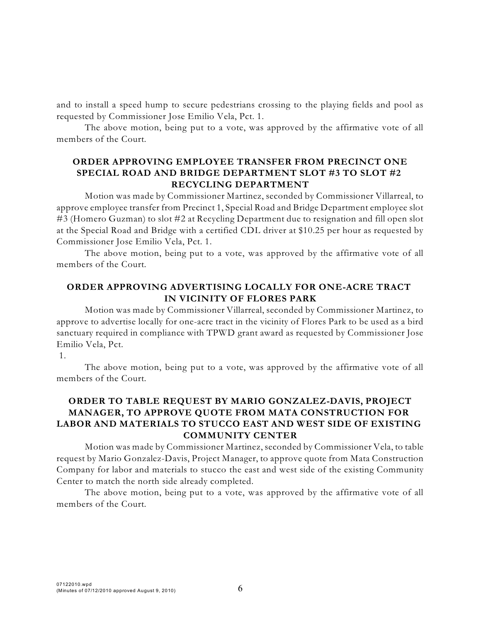and to install a speed hump to secure pedestrians crossing to the playing fields and pool as requested by Commissioner Jose Emilio Vela, Pct. 1.

The above motion, being put to a vote, was approved by the affirmative vote of all members of the Court.

### **ORDER APPROVING EMPLOYEE TRANSFER FROM PRECINCT ONE SPECIAL ROAD AND BRIDGE DEPARTMENT SLOT #3 TO SLOT #2 RECYCLING DEPARTMENT**

Motion was made by Commissioner Martinez, seconded by Commissioner Villarreal, to approve employee transfer from Precinct 1, Special Road and Bridge Department employee slot #3 (Homero Guzman) to slot #2 at Recycling Department due to resignation and fill open slot at the Special Road and Bridge with a certified CDL driver at \$10.25 per hour as requested by Commissioner Jose Emilio Vela, Pct. 1.

The above motion, being put to a vote, was approved by the affirmative vote of all members of the Court.

#### **ORDER APPROVING ADVERTISING LOCALLY FOR ONE-ACRE TRACT IN VICINITY OF FLORES PARK**

Motion was made by Commissioner Villarreal, seconded by Commissioner Martinez, to approve to advertise locally for one-acre tract in the vicinity of Flores Park to be used as a bird sanctuary required in compliance with TPWD grant award as requested by Commissioner Jose Emilio Vela, Pct.

1.

The above motion, being put to a vote, was approved by the affirmative vote of all members of the Court.

# **ORDER TO TABLE REQUEST BY MARIO GONZALEZ-DAVIS, PROJECT MANAGER, TO APPROVE QUOTE FROM MATA CONSTRUCTION FOR LABOR AND MATERIALS TO STUCCO EAST AND WEST SIDE OF EXISTING COMMUNITY CENTER**

Motion was made by Commissioner Martinez, seconded by Commissioner Vela, to table request by Mario Gonzalez-Davis, Project Manager, to approve quote from Mata Construction Company for labor and materials to stucco the east and west side of the existing Community Center to match the north side already completed.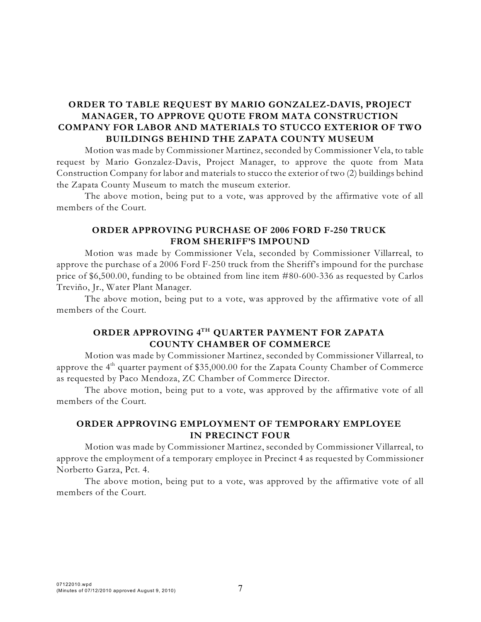# **ORDER TO TABLE REQUEST BY MARIO GONZALEZ-DAVIS, PROJECT MANAGER, TO APPROVE QUOTE FROM MATA CONSTRUCTION COMPANY FOR LABOR AND MATERIALS TO STUCCO EXTERIOR OF TWO BUILDINGS BEHIND THE ZAPATA COUNTY MUSEUM**

Motion was made by Commissioner Martinez, seconded by Commissioner Vela, to table request by Mario Gonzalez-Davis, Project Manager, to approve the quote from Mata Construction Company for labor and materials to stucco the exterior of two (2) buildings behind the Zapata County Museum to match the museum exterior.

The above motion, being put to a vote, was approved by the affirmative vote of all members of the Court.

#### **ORDER APPROVING PURCHASE OF 2006 FORD F-250 TRUCK FROM SHERIFF'S IMPOUND**

Motion was made by Commissioner Vela, seconded by Commissioner Villarreal, to approve the purchase of a 2006 Ford F-250 truck from the Sheriff's impound for the purchase price of \$6,500.00, funding to be obtained from line item #80-600-336 as requested by Carlos Treviño, Jr., Water Plant Manager.

The above motion, being put to a vote, was approved by the affirmative vote of all members of the Court.

### **ORDER APPROVING 4 QUARTER PAYMENT FOR ZAPATA TH COUNTY CHAMBER OF COMMERCE**

Motion was made by Commissioner Martinez, seconded by Commissioner Villarreal, to approve the  $4^{\rm th}$  quarter payment of \$35,000.00 for the Zapata County Chamber of Commerce as requested by Paco Mendoza, ZC Chamber of Commerce Director.

The above motion, being put to a vote, was approved by the affirmative vote of all members of the Court.

### **ORDER APPROVING EMPLOYMENT OF TEMPORARY EMPLOYEE IN PRECINCT FOUR**

Motion was made by Commissioner Martinez, seconded by Commissioner Villarreal, to approve the employment of a temporary employee in Precinct 4 as requested by Commissioner Norberto Garza, Pct. 4.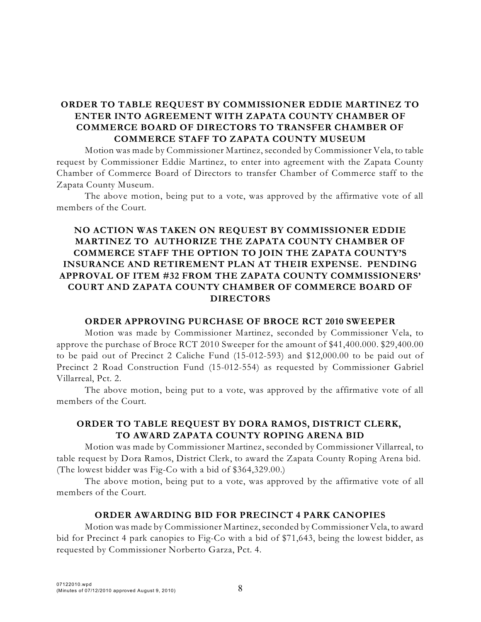# **ORDER TO TABLE REQUEST BY COMMISSIONER EDDIE MARTINEZ TO ENTER INTO AGREEMENT WITH ZAPATA COUNTY CHAMBER OF COMMERCE BOARD OF DIRECTORS TO TRANSFER CHAMBER OF COMMERCE STAFF TO ZAPATA COUNTY MUSEUM**

Motion was made by Commissioner Martinez, seconded by Commissioner Vela, to table request by Commissioner Eddie Martinez, to enter into agreement with the Zapata County Chamber of Commerce Board of Directors to transfer Chamber of Commerce staff to the Zapata County Museum.

The above motion, being put to a vote, was approved by the affirmative vote of all members of the Court.

# **NO ACTION WAS TAKEN ON REQUEST BY COMMISSIONER EDDIE MARTINEZ TO AUTHORIZE THE ZAPATA COUNTY CHAMBER OF COMMERCE STAFF THE OPTION TO JOIN THE ZAPATA COUNTY'S INSURANCE AND RETIREMENT PLAN AT THEIR EXPENSE. PENDING APPROVAL OF ITEM #32 FROM THE ZAPATA COUNTY COMMISSIONERS' COURT AND ZAPATA COUNTY CHAMBER OF COMMERCE BOARD OF DIRECTORS**

#### **ORDER APPROVING PURCHASE OF BROCE RCT 2010 SWEEPER**

Motion was made by Commissioner Martinez, seconded by Commissioner Vela, to approve the purchase of Broce RCT 2010 Sweeper for the amount of \$41,400.000. \$29,400.00 to be paid out of Precinct 2 Caliche Fund (15-012-593) and \$12,000.00 to be paid out of Precinct 2 Road Construction Fund (15-012-554) as requested by Commissioner Gabriel Villarreal, Pct. 2.

The above motion, being put to a vote, was approved by the affirmative vote of all members of the Court.

# **ORDER TO TABLE REQUEST BY DORA RAMOS, DISTRICT CLERK, TO AWARD ZAPATA COUNTY ROPING ARENA BID**

Motion was made by Commissioner Martinez, seconded by Commissioner Villarreal, to table request by Dora Ramos, District Clerk, to award the Zapata County Roping Arena bid. (The lowest bidder was Fig-Co with a bid of \$364,329.00.)

The above motion, being put to a vote, was approved by the affirmative vote of all members of the Court.

#### **ORDER AWARDING BID FOR PRECINCT 4 PARK CANOPIES**

Motion was made by Commissioner Martinez, seconded by Commissioner Vela, to award bid for Precinct 4 park canopies to Fig-Co with a bid of \$71,643, being the lowest bidder, as requested by Commissioner Norberto Garza, Pct. 4.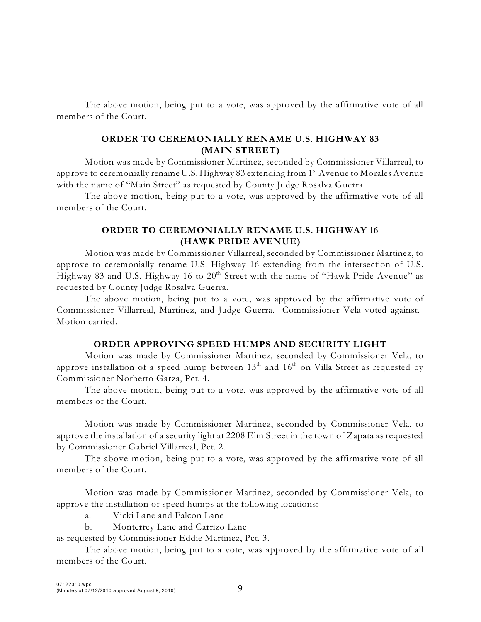The above motion, being put to a vote, was approved by the affirmative vote of all members of the Court.

### **ORDER TO CEREMONIALLY RENAME U.S. HIGHWAY 83 (MAIN STREET)**

Motion was made by Commissioner Martinez, seconded by Commissioner Villarreal, to approve to ceremonially rename U.S. Highway 83 extending from  $1^{\rm st}$  Avenue to Morales Avenue with the name of "Main Street" as requested by County Judge Rosalva Guerra.

The above motion, being put to a vote, was approved by the affirmative vote of all members of the Court.

### **ORDER TO CEREMONIALLY RENAME U.S. HIGHWAY 16 (HAWK PRIDE AVENUE)**

Motion was made by Commissioner Villarreal, seconded by Commissioner Martinez, to approve to ceremonially rename U.S. Highway 16 extending from the intersection of U.S. Highway 83 and U.S. Highway 16 to  $20^{\text{th}}$  Street with the name of "Hawk Pride Avenue" as requested by County Judge Rosalva Guerra.

The above motion, being put to a vote, was approved by the affirmative vote of Commissioner Villarreal, Martinez, and Judge Guerra. Commissioner Vela voted against. Motion carried.

#### **ORDER APPROVING SPEED HUMPS AND SECURITY LIGHT**

Motion was made by Commissioner Martinez, seconded by Commissioner Vela, to approve installation of a speed hump between  $13^{\rm th}$  and  $16^{\rm th}$  on Villa Street as requested by Commissioner Norberto Garza, Pct. 4.

The above motion, being put to a vote, was approved by the affirmative vote of all members of the Court.

Motion was made by Commissioner Martinez, seconded by Commissioner Vela, to approve the installation of a security light at 2208 Elm Street in the town of Zapata as requested by Commissioner Gabriel Villarreal, Pct. 2.

The above motion, being put to a vote, was approved by the affirmative vote of all members of the Court.

Motion was made by Commissioner Martinez, seconded by Commissioner Vela, to approve the installation of speed humps at the following locations:

a. Vicki Lane and Falcon Lane

b. Monterrey Lane and Carrizo Lane

as requested by Commissioner Eddie Martinez, Pct. 3.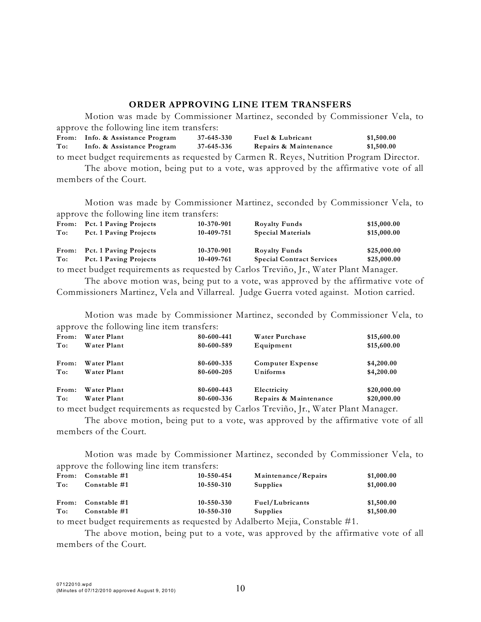#### **ORDER APPROVING LINE ITEM TRANSFERS**

Motion was made by Commissioner Martinez, seconded by Commissioner Vela, to approve the following line item transfers:<br>From: Info. & Assistance Program 37-645-330 **From: Info. & Assistance Program 37-645-330 Fuel & Lubricant \$1,500.00 To: Info. & Assistance Program 37-645-336 Repairs & Maintenance \$1,500.00** to meet budget requirements as requested by Carmen R. Reyes, Nutrition Program Director.

The above motion, being put to a vote, was approved by the affirmative vote of all members of the Court.

Motion was made by Commissioner Martinez, seconded by Commissioner Vela, to approve the following line item transfers:

|                                                                                       | From: Pct. 1 Paving Projects | 10-370-901 | <b>Royalty Funds</b>             | \$15,000.00 |  |
|---------------------------------------------------------------------------------------|------------------------------|------------|----------------------------------|-------------|--|
| To:                                                                                   | Pct. 1 Paving Projects       | 10-409-751 | <b>Special Materials</b>         | \$15,000.00 |  |
|                                                                                       |                              |            |                                  |             |  |
|                                                                                       | From: Pct. 1 Paving Projects | 10-370-901 | <b>Royalty Funds</b>             | \$25,000.00 |  |
| To:                                                                                   | Pct. 1 Paving Projects       | 10-409-761 | <b>Special Contract Services</b> | \$25,000.00 |  |
| to meet budget requirements as requested by Carlos Treviño, Jr., Water Plant Manager. |                              |            |                                  |             |  |

The above motion was, being put to a vote, was approved by the affirmative vote of Commissioners Martinez, Vela and Villarreal. Judge Guerra voted against. Motion carried.

Motion was made by Commissioner Martinez, seconded by Commissioner Vela, to approve the following line item transfers:

| From: | Water Plant | 80-600-441 | Water Purchase          | \$15,600.00 |
|-------|-------------|------------|-------------------------|-------------|
| To:   | Water Plant | 80-600-589 | Equipment               | \$15,600.00 |
| From: | Water Plant | 80-600-335 | <b>Computer Expense</b> | \$4,200.00  |
| To:   | Water Plant | 80-600-205 | Uniforms                | \$4,200.00  |
| From: | Water Plant | 80-600-443 | Electricity             | \$20,000.00 |
| To:   | Water Plant | 80-600-336 | Repairs & Maintenance   | \$20,000.00 |

to meet budget requirements as requested by Carlos Treviño, Jr., Water Plant Manager.

The above motion, being put to a vote, was approved by the affirmative vote of all members of the Court.

Motion was made by Commissioner Martinez, seconded by Commissioner Vela, to approve the following line item transfers:

| From: | Constable #1       | $10 - 550 - 454$ | Maintenance/Repairs                                                      | \$1,000.00 |
|-------|--------------------|------------------|--------------------------------------------------------------------------|------------|
| To:   | Constable #1       | $10 - 550 - 310$ | <b>Supplies</b>                                                          | \$1,000.00 |
|       | From: Constable #1 | $10 - 550 - 330$ | Fuel/Lubricants                                                          | \$1,500.00 |
| To:   | Constable #1       | $10 - 550 - 310$ | <b>Supplies</b>                                                          | \$1,500.00 |
|       |                    |                  | to meet budget requirements as requested by Adelberto Meije Constable #1 |            |

to meet budget requirements as requested by Adalberto Mejia, Constable #1.